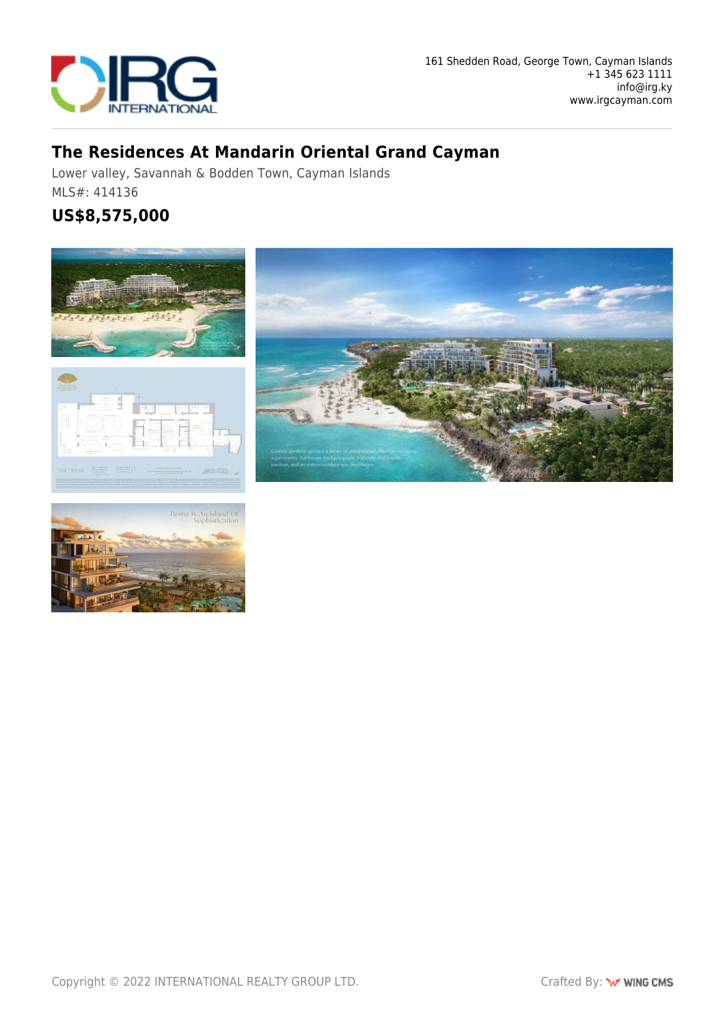

## **The Residences At Mandarin Oriental Grand Cayman**

Lower valley, Savannah & Bodden Town, Cayman Islands MLS#: 414136

## **US\$8,575,000**







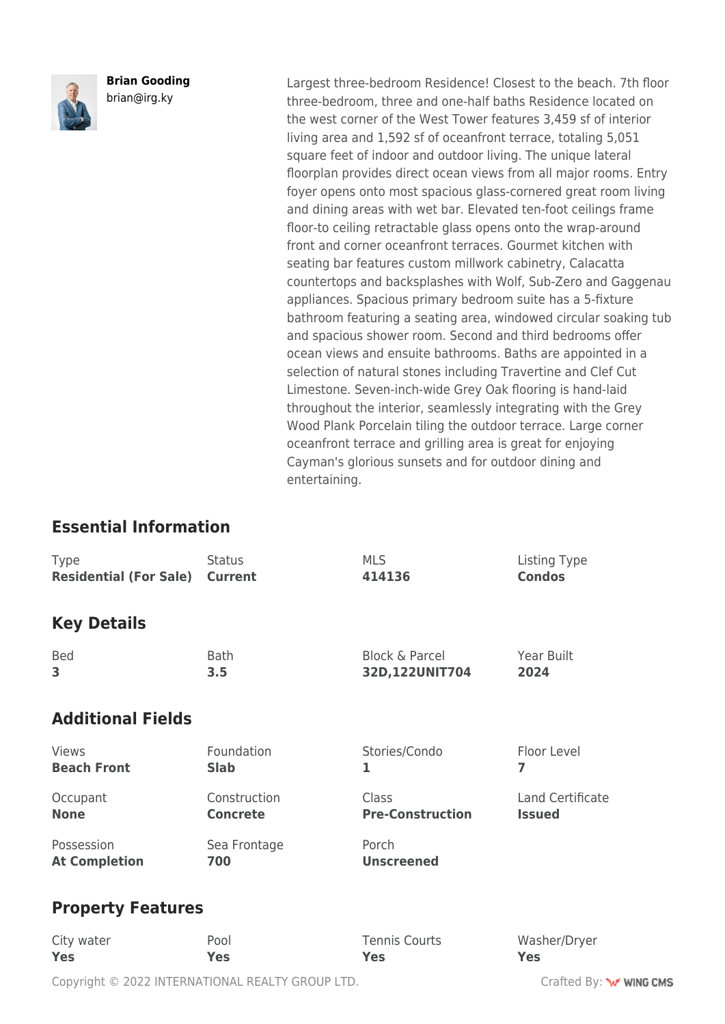

**Brian Gooding** brian@irg.ky

Largest three-bedroom Residence! Closest to the beach. 7th floor three-bedroom, three and one-half baths Residence located on the west corner of the West Tower features 3,459 sf of interior living area and 1,592 sf of oceanfront terrace, totaling 5,051 square feet of indoor and outdoor living. The unique lateral floorplan provides direct ocean views from all major rooms. Entry foyer opens onto most spacious glass-cornered great room living and dining areas with wet bar. Elevated ten-foot ceilings frame floor-to ceiling retractable glass opens onto the wrap-around front and corner oceanfront terraces. Gourmet kitchen with seating bar features custom millwork cabinetry, Calacatta countertops and backsplashes with Wolf, Sub-Zero and Gaggenau appliances. Spacious primary bedroom suite has a 5-fixture bathroom featuring a seating area, windowed circular soaking tub and spacious shower room. Second and third bedrooms offer ocean views and ensuite bathrooms. Baths are appointed in a selection of natural stones including Travertine and Clef Cut Limestone. Seven-inch-wide Grey Oak flooring is hand-laid throughout the interior, seamlessly integrating with the Grey Wood Plank Porcelain tiling the outdoor terrace. Large corner oceanfront terrace and grilling area is great for enjoying Cayman's glorious sunsets and for outdoor dining and entertaining.

## **Essential Information**

| Type                          | <b>Status</b>   | <b>MLS</b>                | Listing Type         |  |
|-------------------------------|-----------------|---------------------------|----------------------|--|
| <b>Residential (For Sale)</b> | <b>Current</b>  | 414136                    | <b>Condos</b>        |  |
| <b>Key Details</b>            |                 |                           |                      |  |
| <b>Bed</b>                    | <b>Bath</b>     | <b>Block &amp; Parcel</b> | Year Built           |  |
| 3                             | 3.5             | 32D,122UNIT704            | 2024                 |  |
| <b>Additional Fields</b>      |                 |                           |                      |  |
| <b>Views</b>                  | Foundation      | Stories/Condo             | Floor Level          |  |
| <b>Beach Front</b>            | <b>Slab</b>     | 1                         | 7                    |  |
| Occupant                      | Construction    | Class                     | Land Certificate     |  |
| <b>None</b>                   | <b>Concrete</b> | <b>Pre-Construction</b>   | <b>Issued</b>        |  |
| Possession                    | Sea Frontage    | Porch                     |                      |  |
| <b>At Completion</b>          | 700             | <b>Unscreened</b>         |                      |  |
| <b>Property Features</b>      |                 |                           |                      |  |
| City water                    | $D \cap \cap$   | Tonnic Courts             | <i>Wachar</i> /Drygr |  |

City water **Yes** Pool **Yes** Tennis Courts **Yes** Washer/Dryer **Yes**

Copyright © 2022 INTERNATIONAL REALTY GROUP LTD. Crafted By: **WWW.COMS**